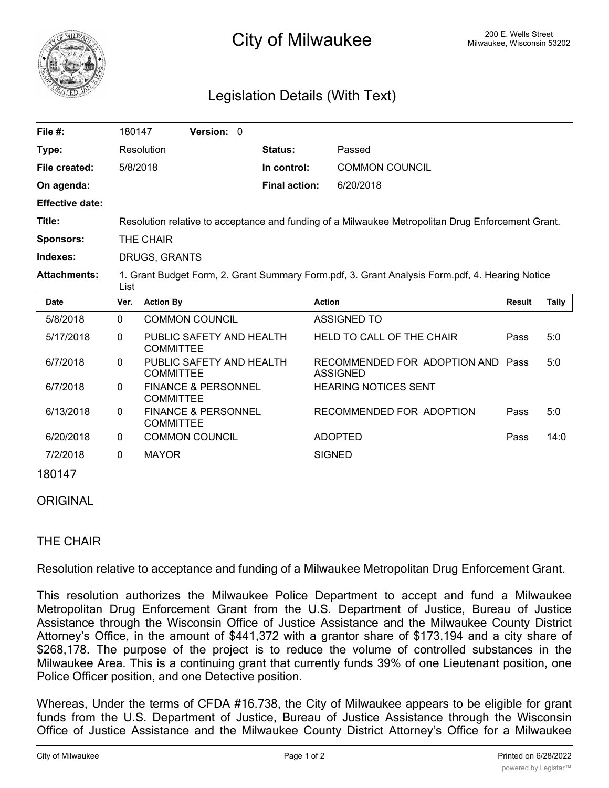

# <sup>200 E.</sup> Wells Street City of Milwaukee Milwaukee, Wisconsin 53202

# Legislation Details (With Text)

| File #:                | 180147                                                                                                 | <b>Version: 0</b> |  |                      |                       |  |  |  |
|------------------------|--------------------------------------------------------------------------------------------------------|-------------------|--|----------------------|-----------------------|--|--|--|
| Type:                  | Resolution                                                                                             |                   |  | <b>Status:</b>       | Passed                |  |  |  |
| File created:          | 5/8/2018                                                                                               |                   |  | In control:          | <b>COMMON COUNCIL</b> |  |  |  |
| On agenda:             |                                                                                                        |                   |  | <b>Final action:</b> | 6/20/2018             |  |  |  |
| <b>Effective date:</b> |                                                                                                        |                   |  |                      |                       |  |  |  |
| Title:                 | Resolution relative to acceptance and funding of a Milwaukee Metropolitan Drug Enforcement Grant.      |                   |  |                      |                       |  |  |  |
| <b>Sponsors:</b>       | THE CHAIR                                                                                              |                   |  |                      |                       |  |  |  |
| Indexes:               | DRUGS, GRANTS                                                                                          |                   |  |                      |                       |  |  |  |
| <b>Attachments:</b>    | 1. Grant Budget Form, 2. Grant Summary Form.pdf, 3. Grant Analysis Form.pdf, 4. Hearing Notice<br>List |                   |  |                      |                       |  |  |  |
|                        |                                                                                                        |                   |  |                      |                       |  |  |  |

| <b>Date</b> | Ver.         | <b>Action By</b>                                   | <b>Action</b>                                 | <b>Result</b> | Tally |
|-------------|--------------|----------------------------------------------------|-----------------------------------------------|---------------|-------|
| 5/8/2018    | $\mathbf{0}$ | COMMON COUNCIL                                     | ASSIGNED TO                                   |               |       |
| 5/17/2018   | $\mathbf{0}$ | PUBLIC SAFETY AND HEALTH<br><b>COMMITTEE</b>       | HELD TO CALL OF THE CHAIR                     | Pass          | 5:0   |
| 6/7/2018    | $\mathbf{0}$ | PUBLIC SAFETY AND HEALTH<br><b>COMMITTEE</b>       | RECOMMENDED FOR ADOPTION AND Pass<br>ASSIGNED |               | 5:0   |
| 6/7/2018    | $\mathbf{0}$ | <b>FINANCE &amp; PERSONNEL</b><br><b>COMMITTEE</b> | <b>HEARING NOTICES SENT</b>                   |               |       |
| 6/13/2018   | $\mathbf{0}$ | <b>FINANCE &amp; PERSONNEL</b><br><b>COMMITTEE</b> | RECOMMENDED FOR ADOPTION                      | Pass          | 5:0   |
| 6/20/2018   | $\mathbf{0}$ | <b>COMMON COUNCIL</b>                              | <b>ADOPTED</b>                                | Pass          | 14:0  |
| 7/2/2018    | $\Omega$     | <b>MAYOR</b>                                       | <b>SIGNED</b>                                 |               |       |
| 1001110     |              |                                                    |                                               |               |       |

#### 180147

### **ORIGINAL**

## THE CHAIR

Resolution relative to acceptance and funding of a Milwaukee Metropolitan Drug Enforcement Grant.

This resolution authorizes the Milwaukee Police Department to accept and fund a Milwaukee Metropolitan Drug Enforcement Grant from the U.S. Department of Justice, Bureau of Justice Assistance through the Wisconsin Office of Justice Assistance and the Milwaukee County District Attorney's Office, in the amount of \$441,372 with a grantor share of \$173,194 and a city share of \$268,178. The purpose of the project is to reduce the volume of controlled substances in the Milwaukee Area. This is a continuing grant that currently funds 39% of one Lieutenant position, one Police Officer position, and one Detective position.

Whereas, Under the terms of CFDA #16.738, the City of Milwaukee appears to be eligible for grant funds from the U.S. Department of Justice, Bureau of Justice Assistance through the Wisconsin Office of Justice Assistance and the Milwaukee County District Attorney's Office for a Milwaukee